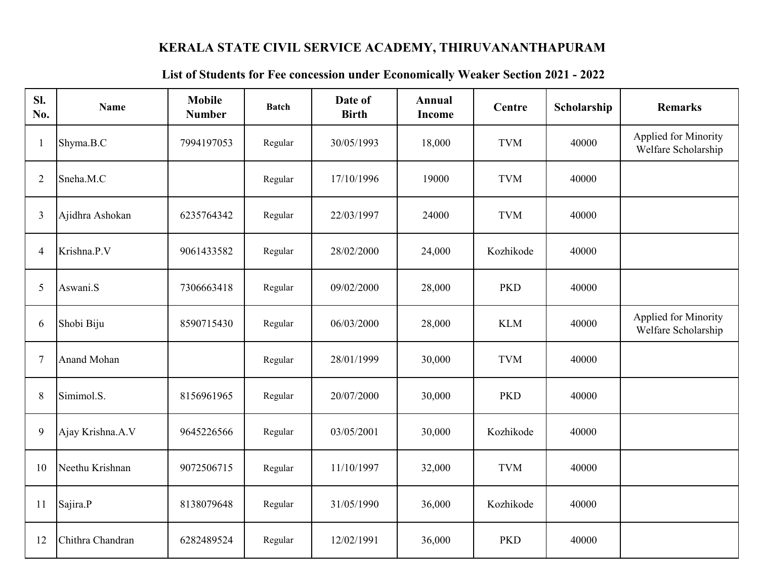## **KERALA STATE CIVIL SERVICE ACADEMY, THIRUVANANTHAPURAM**

## **List of Students for Fee concession under Economically Weaker Section 2021 - 2022**

| Sl.<br>No.     | <b>Name</b>      | <b>Mobile</b><br><b>Number</b> | <b>Batch</b> | Date of<br><b>Birth</b> | Annual<br>Income | Centre     | Scholarship | <b>Remarks</b>                              |
|----------------|------------------|--------------------------------|--------------|-------------------------|------------------|------------|-------------|---------------------------------------------|
| -1             | Shyma.B.C        | 7994197053                     | Regular      | 30/05/1993              | 18,000           | <b>TVM</b> | 40000       | Applied for Minority<br>Welfare Scholarship |
| $\overline{2}$ | Sneha.M.C        |                                | Regular      | 17/10/1996              | 19000            | <b>TVM</b> | 40000       |                                             |
| 3              | Ajidhra Ashokan  | 6235764342                     | Regular      | 22/03/1997              | 24000            | <b>TVM</b> | 40000       |                                             |
| 4              | Krishna.P.V      | 9061433582                     | Regular      | 28/02/2000              | 24,000           | Kozhikode  | 40000       |                                             |
| 5              | Aswani.S         | 7306663418                     | Regular      | 09/02/2000              | 28,000           | <b>PKD</b> | 40000       |                                             |
| 6              | Shobi Biju       | 8590715430                     | Regular      | 06/03/2000              | 28,000           | <b>KLM</b> | 40000       | Applied for Minority<br>Welfare Scholarship |
| 7              | Anand Mohan      |                                | Regular      | 28/01/1999              | 30,000           | <b>TVM</b> | 40000       |                                             |
| 8              | Simimol.S.       | 8156961965                     | Regular      | 20/07/2000              | 30,000           | <b>PKD</b> | 40000       |                                             |
| 9              | Ajay Krishna.A.V | 9645226566                     | Regular      | 03/05/2001              | 30,000           | Kozhikode  | 40000       |                                             |
| 10             | Neethu Krishnan  | 9072506715                     | Regular      | 11/10/1997              | 32,000           | <b>TVM</b> | 40000       |                                             |
| 11             | Sajira.P         | 8138079648                     | Regular      | 31/05/1990              | 36,000           | Kozhikode  | 40000       |                                             |
| 12             | Chithra Chandran | 6282489524                     | Regular      | 12/02/1991              | 36,000           | <b>PKD</b> | 40000       |                                             |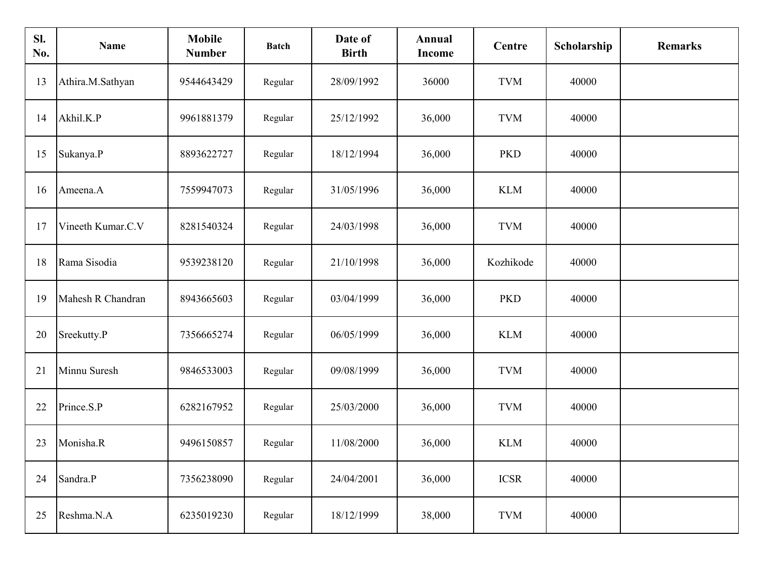| SI.<br>No. | <b>Name</b>       | <b>Mobile</b><br><b>Number</b> | <b>Batch</b> | Date of<br><b>Birth</b> | Annual<br><b>Income</b> | Centre      | Scholarship | <b>Remarks</b> |
|------------|-------------------|--------------------------------|--------------|-------------------------|-------------------------|-------------|-------------|----------------|
| 13         | Athira.M.Sathyan  | 9544643429                     | Regular      | 28/09/1992              | 36000                   | <b>TVM</b>  | 40000       |                |
| 14         | Akhil.K.P         | 9961881379                     | Regular      | 25/12/1992              | 36,000                  | <b>TVM</b>  | 40000       |                |
| 15         | Sukanya.P         | 8893622727                     | Regular      | 18/12/1994              | 36,000                  | <b>PKD</b>  | 40000       |                |
| 16         | Ameena.A          | 7559947073                     | Regular      | 31/05/1996              | 36,000                  | <b>KLM</b>  | 40000       |                |
| 17         | Vineeth Kumar.C.V | 8281540324                     | Regular      | 24/03/1998              | 36,000                  | <b>TVM</b>  | 40000       |                |
| 18         | Rama Sisodia      | 9539238120                     | Regular      | 21/10/1998              | 36,000                  | Kozhikode   | 40000       |                |
| 19         | Mahesh R Chandran | 8943665603                     | Regular      | 03/04/1999              | 36,000                  | <b>PKD</b>  | 40000       |                |
| 20         | Sreekutty.P       | 7356665274                     | Regular      | 06/05/1999              | 36,000                  | <b>KLM</b>  | 40000       |                |
| 21         | Minnu Suresh      | 9846533003                     | Regular      | 09/08/1999              | 36,000                  | <b>TVM</b>  | 40000       |                |
| 22         | Prince.S.P        | 6282167952                     | Regular      | 25/03/2000              | 36,000                  | <b>TVM</b>  | 40000       |                |
| 23         | Monisha.R         | 9496150857                     | Regular      | 11/08/2000              | 36,000                  | <b>KLM</b>  | 40000       |                |
| 24         | Sandra.P          | 7356238090                     | Regular      | 24/04/2001              | 36,000                  | <b>ICSR</b> | 40000       |                |
| 25         | Reshma.N.A        | 6235019230                     | Regular      | 18/12/1999              | 38,000                  | <b>TVM</b>  | 40000       |                |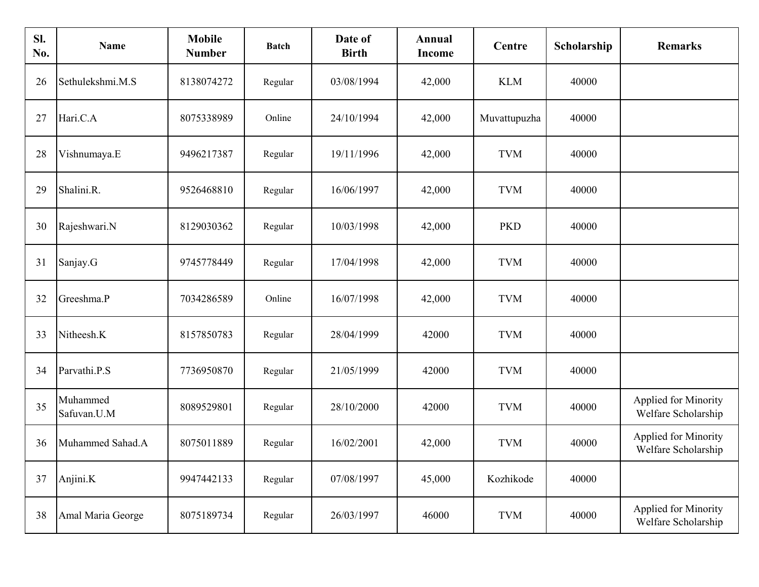| SI.<br>No. | Name                    | <b>Mobile</b><br><b>Number</b> | <b>Batch</b> | Date of<br><b>Birth</b> | Annual<br>Income | Centre       | Scholarship | <b>Remarks</b>                                     |
|------------|-------------------------|--------------------------------|--------------|-------------------------|------------------|--------------|-------------|----------------------------------------------------|
| 26         | Sethulekshmi.M.S        | 8138074272                     | Regular      | 03/08/1994              | 42,000           | <b>KLM</b>   | 40000       |                                                    |
| 27         | Hari.C.A                | 8075338989                     | Online       | 24/10/1994              | 42,000           | Muvattupuzha | 40000       |                                                    |
| 28         | Vishnumaya.E            | 9496217387                     | Regular      | 19/11/1996              | 42,000           | <b>TVM</b>   | 40000       |                                                    |
| 29         | Shalini.R.              | 9526468810                     | Regular      | 16/06/1997              | 42,000           | <b>TVM</b>   | 40000       |                                                    |
| 30         | Rajeshwari.N            | 8129030362                     | Regular      | 10/03/1998              | 42,000           | <b>PKD</b>   | 40000       |                                                    |
| 31         | Sanjay.G                | 9745778449                     | Regular      | 17/04/1998              | 42,000           | <b>TVM</b>   | 40000       |                                                    |
| 32         | Greeshma.P              | 7034286589                     | Online       | 16/07/1998              | 42,000           | <b>TVM</b>   | 40000       |                                                    |
| 33         | Nitheesh.K              | 8157850783                     | Regular      | 28/04/1999              | 42000            | <b>TVM</b>   | 40000       |                                                    |
| 34         | Parvathi.P.S            | 7736950870                     | Regular      | 21/05/1999              | 42000            | <b>TVM</b>   | 40000       |                                                    |
| 35         | Muhammed<br>Safuvan.U.M | 8089529801                     | Regular      | 28/10/2000              | 42000            | <b>TVM</b>   | 40000       | Applied for Minority<br>Welfare Scholarship        |
| 36         | Muhammed Sahad.A        | 8075011889                     | Regular      | 16/02/2001              | 42,000           | <b>TVM</b>   | 40000       | <b>Applied for Minority</b><br>Welfare Scholarship |
| 37         | Anjini.K                | 9947442133                     | Regular      | 07/08/1997              | 45,000           | Kozhikode    | 40000       |                                                    |
| 38         | Amal Maria George       | 8075189734                     | Regular      | 26/03/1997              | 46000            | <b>TVM</b>   | 40000       | Applied for Minority<br>Welfare Scholarship        |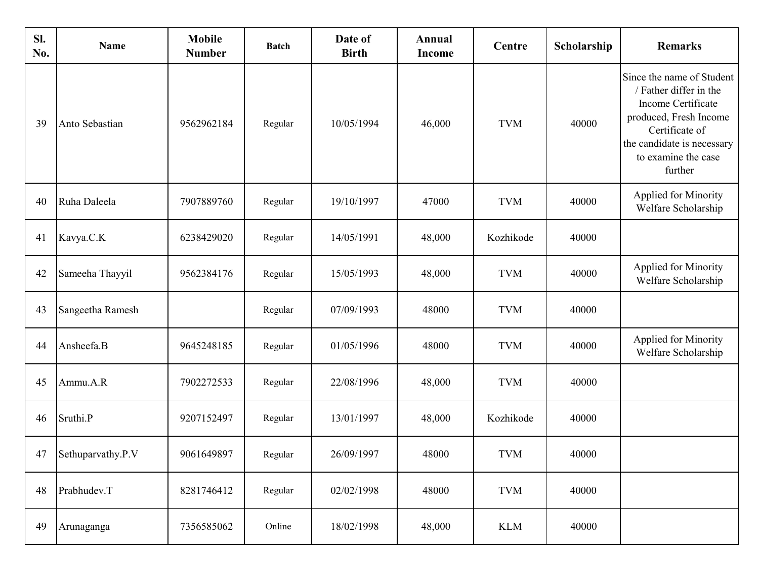| Sl.<br>No. | <b>Name</b>       | <b>Mobile</b><br><b>Number</b> | <b>Batch</b> | Date of<br><b>Birth</b> | Annual<br><b>Income</b> | Centre     | Scholarship | <b>Remarks</b>                                                                                                                                                                        |
|------------|-------------------|--------------------------------|--------------|-------------------------|-------------------------|------------|-------------|---------------------------------------------------------------------------------------------------------------------------------------------------------------------------------------|
| 39         | Anto Sebastian    | 9562962184                     | Regular      | 10/05/1994              | 46,000                  | <b>TVM</b> | 40000       | Since the name of Student<br>/ Father differ in the<br>Income Certificate<br>produced, Fresh Income<br>Certificate of<br>the candidate is necessary<br>to examine the case<br>further |
| 40         | Ruha Daleela      | 7907889760                     | Regular      | 19/10/1997              | 47000                   | <b>TVM</b> | 40000       | Applied for Minority<br>Welfare Scholarship                                                                                                                                           |
| 41         | Kavya.C.K         | 6238429020                     | Regular      | 14/05/1991              | 48,000                  | Kozhikode  | 40000       |                                                                                                                                                                                       |
| 42         | Sameeha Thayyil   | 9562384176                     | Regular      | 15/05/1993              | 48,000                  | <b>TVM</b> | 40000       | Applied for Minority<br>Welfare Scholarship                                                                                                                                           |
| 43         | Sangeetha Ramesh  |                                | Regular      | 07/09/1993              | 48000                   | <b>TVM</b> | 40000       |                                                                                                                                                                                       |
| 44         | Ansheefa.B        | 9645248185                     | Regular      | 01/05/1996              | 48000                   | <b>TVM</b> | 40000       | Applied for Minority<br>Welfare Scholarship                                                                                                                                           |
| 45         | Ammu.A.R          | 7902272533                     | Regular      | 22/08/1996              | 48,000                  | <b>TVM</b> | 40000       |                                                                                                                                                                                       |
| 46         | Sruthi.P          | 9207152497                     | Regular      | 13/01/1997              | 48,000                  | Kozhikode  | 40000       |                                                                                                                                                                                       |
| 47         | Sethuparvathy.P.V | 9061649897                     | Regular      | 26/09/1997              | 48000                   | <b>TVM</b> | 40000       |                                                                                                                                                                                       |
| 48         | Prabhudev.T       | 8281746412                     | Regular      | 02/02/1998              | 48000                   | <b>TVM</b> | 40000       |                                                                                                                                                                                       |
| 49         | Arunaganga        | 7356585062                     | Online       | 18/02/1998              | 48,000                  | <b>KLM</b> | 40000       |                                                                                                                                                                                       |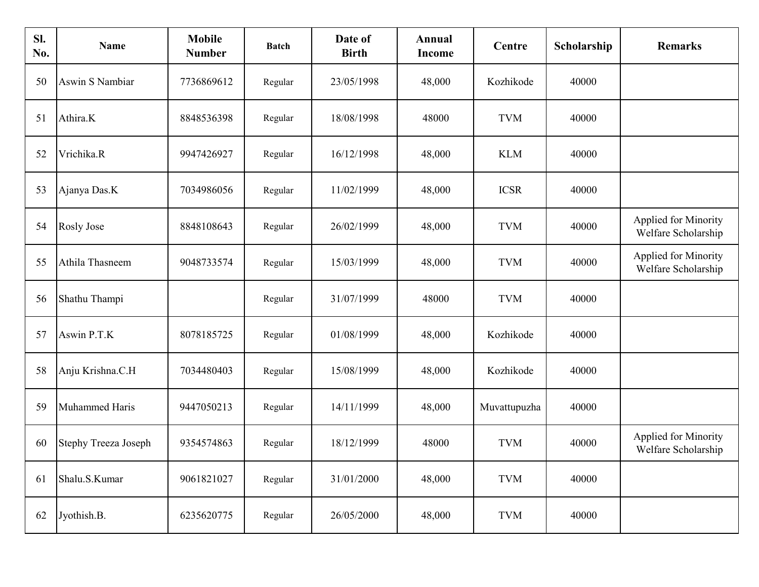| SI.<br>No. | <b>Name</b>                 | <b>Mobile</b><br><b>Number</b> | <b>Batch</b> | Date of<br><b>Birth</b> | Annual<br>Income | Centre       | Scholarship | <b>Remarks</b>                                     |
|------------|-----------------------------|--------------------------------|--------------|-------------------------|------------------|--------------|-------------|----------------------------------------------------|
| 50         | Aswin S Nambiar             | 7736869612                     | Regular      | 23/05/1998              | 48,000           | Kozhikode    | 40000       |                                                    |
| 51         | Athira.K                    | 8848536398                     | Regular      | 18/08/1998              | 48000            | <b>TVM</b>   | 40000       |                                                    |
| 52         | Vrichika.R                  | 9947426927                     | Regular      | 16/12/1998              | 48,000           | <b>KLM</b>   | 40000       |                                                    |
| 53         | Ajanya Das.K                | 7034986056                     | Regular      | 11/02/1999              | 48,000           | <b>ICSR</b>  | 40000       |                                                    |
| 54         | <b>Rosly Jose</b>           | 8848108643                     | Regular      | 26/02/1999              | 48,000           | <b>TVM</b>   | 40000       | Applied for Minority<br>Welfare Scholarship        |
| 55         | Athila Thasneem             | 9048733574                     | Regular      | 15/03/1999              | 48,000           | <b>TVM</b>   | 40000       | Applied for Minority<br>Welfare Scholarship        |
| 56         | Shathu Thampi               |                                | Regular      | 31/07/1999              | 48000            | <b>TVM</b>   | 40000       |                                                    |
| 57         | Aswin P.T.K                 | 8078185725                     | Regular      | 01/08/1999              | 48,000           | Kozhikode    | 40000       |                                                    |
| 58         | Anju Krishna.C.H            | 7034480403                     | Regular      | 15/08/1999              | 48,000           | Kozhikode    | 40000       |                                                    |
| 59         | Muhammed Haris              | 9447050213                     | Regular      | 14/11/1999              | 48,000           | Muvattupuzha | 40000       |                                                    |
| 60         | <b>Stephy Treeza Joseph</b> | 9354574863                     | Regular      | 18/12/1999              | 48000            | <b>TVM</b>   | 40000       | <b>Applied for Minority</b><br>Welfare Scholarship |
| 61         | Shalu.S.Kumar               | 9061821027                     | Regular      | 31/01/2000              | 48,000           | <b>TVM</b>   | 40000       |                                                    |
| 62         | Jyothish.B.                 | 6235620775                     | Regular      | 26/05/2000              | 48,000           | <b>TVM</b>   | 40000       |                                                    |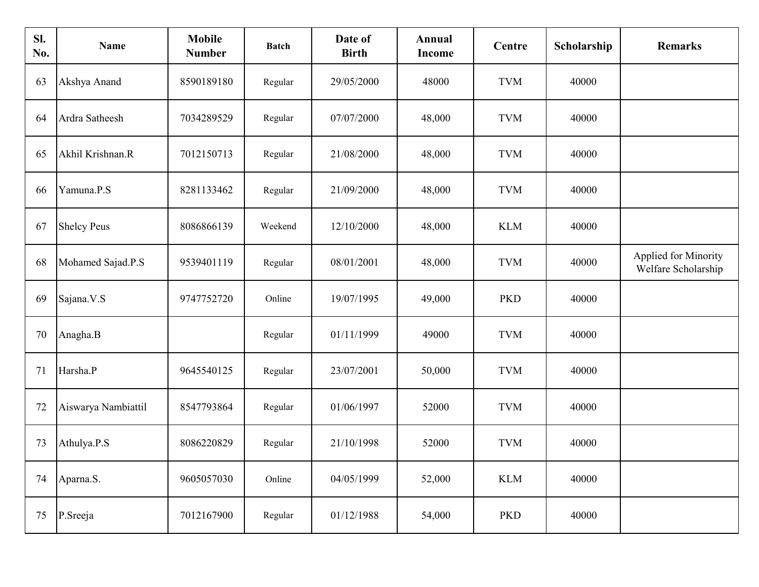| SI.<br>No. | <b>Name</b>         | <b>Mobile</b><br><b>Number</b> | <b>Batch</b> | Date of<br><b>Birth</b> | Annual<br>Income | Centre                      | Scholarship | <b>Remarks</b>                              |
|------------|---------------------|--------------------------------|--------------|-------------------------|------------------|-----------------------------|-------------|---------------------------------------------|
| 63         | Akshya Anand        | 8590189180                     | Regular      | 29/05/2000              | 48000            | <b>TVM</b>                  | 40000       |                                             |
| 64         | Ardra Satheesh      | 7034289529                     | Regular      | 07/07/2000              | 48,000           | <b>TVM</b>                  | 40000       |                                             |
| 65         | Akhil Krishnan.R    | 7012150713                     | Regular      | 21/08/2000              | 48,000           | <b>TVM</b>                  | 40000       |                                             |
| 66         | Yamuna.P.S          | 8281133462                     | Regular      | 21/09/2000              | 48,000           | <b>TVM</b>                  | 40000       |                                             |
| 67         | <b>Shelcy Peus</b>  | 8086866139                     | Weekend      | 12/10/2000              | 48,000           | <b>KLM</b>                  | 40000       |                                             |
| 68         | Mohamed Sajad.P.S   | 9539401119                     | Regular      | 08/01/2001              | 48,000           | <b>TVM</b>                  | 40000       | Applied for Minority<br>Welfare Scholarship |
| 69         | Sajana.V.S          | 9747752720                     | Online       | 19/07/1995              | 49,000           | <b>PKD</b>                  | 40000       |                                             |
| 70         | Anagha.B            |                                | Regular      | 01/11/1999              | 49000            | <b>TVM</b>                  | 40000       |                                             |
| 71         | Harsha.P            | 9645540125                     | Regular      | 23/07/2001              | 50,000           | <b>TVM</b>                  | 40000       |                                             |
| 72         | Aiswarya Nambiattil | 8547793864                     | Regular      | 01/06/1997              | 52000            | <b>TVM</b>                  | 40000       |                                             |
| 73         | Athulya.P.S         | 8086220829                     | Regular      | 21/10/1998              | 52000            | <b>TVM</b>                  | 40000       |                                             |
| 74         | Aparna.S.           | 9605057030                     | Online       | 04/05/1999              | 52,000           | $\mathop{\rm KLM}\nolimits$ | 40000       |                                             |
| 75         | P.Sreeja            | 7012167900                     | Regular      | 01/12/1988              | 54,000           | <b>PKD</b>                  | 40000       |                                             |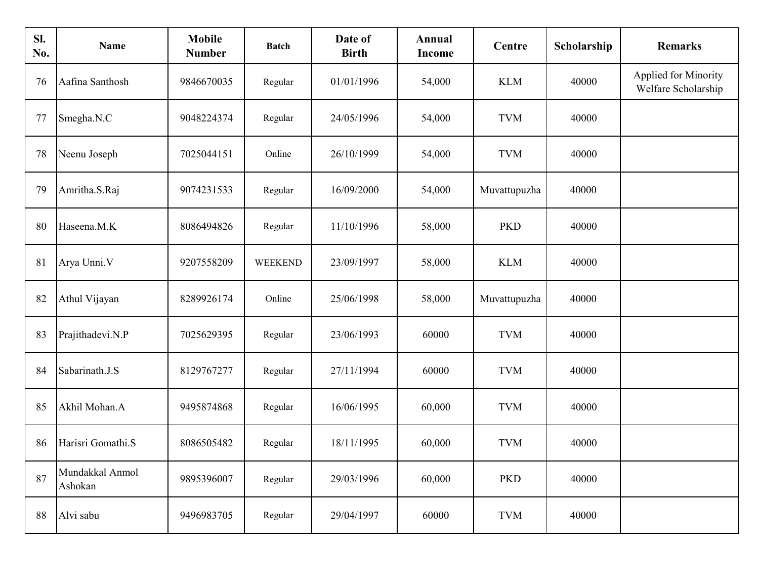| SI.<br>No. | <b>Name</b>                | <b>Mobile</b><br><b>Number</b> | <b>Batch</b>   | Date of<br><b>Birth</b> | Annual<br>Income | Centre       | Scholarship | <b>Remarks</b>                              |
|------------|----------------------------|--------------------------------|----------------|-------------------------|------------------|--------------|-------------|---------------------------------------------|
| 76         | Aafina Santhosh            | 9846670035                     | Regular        | 01/01/1996              | 54,000           | <b>KLM</b>   | 40000       | Applied for Minority<br>Welfare Scholarship |
| 77         | Smegha.N.C                 | 9048224374                     | Regular        | 24/05/1996              | 54,000           | <b>TVM</b>   | 40000       |                                             |
| 78         | Neenu Joseph               | 7025044151                     | Online         | 26/10/1999              | 54,000           | <b>TVM</b>   | 40000       |                                             |
| 79         | Amritha.S.Raj              | 9074231533                     | Regular        | 16/09/2000              | 54,000           | Muvattupuzha | 40000       |                                             |
| 80         | Haseena.M.K                | 8086494826                     | Regular        | 11/10/1996              | 58,000           | <b>PKD</b>   | 40000       |                                             |
| 81         | Arya Unni.V                | 9207558209                     | <b>WEEKEND</b> | 23/09/1997              | 58,000           | <b>KLM</b>   | 40000       |                                             |
| 82         | Athul Vijayan              | 8289926174                     | Online         | 25/06/1998              | 58,000           | Muvattupuzha | 40000       |                                             |
| 83         | Prajithadevi.N.P           | 7025629395                     | Regular        | 23/06/1993              | 60000            | <b>TVM</b>   | 40000       |                                             |
| 84         | Sabarinath.J.S             | 8129767277                     | Regular        | 27/11/1994              | 60000            | <b>TVM</b>   | 40000       |                                             |
| 85         | Akhil Mohan.A              | 9495874868                     | Regular        | 16/06/1995              | 60,000           | <b>TVM</b>   | 40000       |                                             |
| 86         | Harisri Gomathi.S          | 8086505482                     | Regular        | 18/11/1995              | 60,000           | <b>TVM</b>   | 40000       |                                             |
| 87         | Mundakkal Anmol<br>Ashokan | 9895396007                     | Regular        | 29/03/1996              | 60,000           | <b>PKD</b>   | 40000       |                                             |
| 88         | Alvi sabu                  | 9496983705                     | Regular        | 29/04/1997              | 60000            | <b>TVM</b>   | 40000       |                                             |